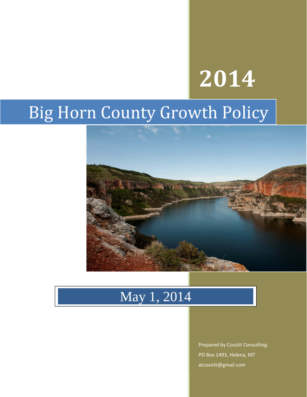# **2014**

## Big Horn County Growth Policy



### May 1, 2014

Prepared by Cossitt Consulting PO Box 1493, Helena, MT atcossitt@gmail.com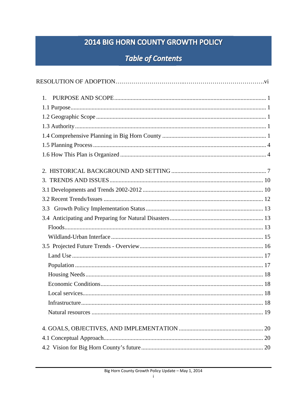#### 2014 BIG HORN COUNTY GROWTH POLICY

#### **Table of Contents**

| $1_{-}$ |  |
|---------|--|
|         |  |
|         |  |
|         |  |
|         |  |
|         |  |
|         |  |
|         |  |
|         |  |
|         |  |
|         |  |
|         |  |
|         |  |
|         |  |
|         |  |
|         |  |
|         |  |
|         |  |
|         |  |
|         |  |
|         |  |
|         |  |
|         |  |
|         |  |
|         |  |
|         |  |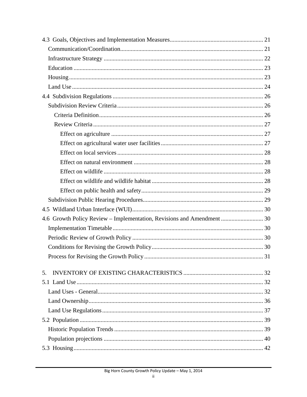| 4.6 Growth Policy Review – Implementation, Revisions and Amendment  30 |  |
|------------------------------------------------------------------------|--|
|                                                                        |  |
|                                                                        |  |
|                                                                        |  |
|                                                                        |  |
|                                                                        |  |
| 5.                                                                     |  |
|                                                                        |  |
|                                                                        |  |
|                                                                        |  |
|                                                                        |  |
|                                                                        |  |
|                                                                        |  |
|                                                                        |  |
|                                                                        |  |